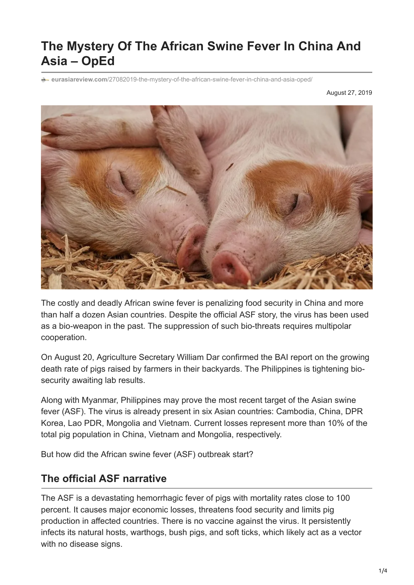## **The Mystery Of The African Swine Fever In China And Asia – OpEd**

**e**urasiareview.com[/27082019-the-mystery-of-the-african-swine-fever-in-china-and-asia-oped/](https://www.eurasiareview.com/27082019-the-mystery-of-the-african-swine-fever-in-china-and-asia-oped/)

August 27, 2019



The costly and deadly African swine fever is penalizing food security in China and more than half a dozen Asian countries. Despite the official ASF story, the virus has been used as a bio-weapon in the past. The suppression of such bio-threats requires multipolar cooperation.

On August 20, Agriculture Secretary William Dar confirmed the BAI report on the growing death rate of pigs raised by farmers in their backyards. The Philippines is tightening biosecurity awaiting lab results.

Along with Myanmar, Philippines may prove the most recent target of the Asian swine fever (ASF). The virus is already present in six Asian countries: Cambodia, China, DPR Korea, Lao PDR, Mongolia and Vietnam. Current losses represent more than 10% of the total pig population in China, Vietnam and Mongolia, respectively.

But how did the African swine fever (ASF) outbreak start?

## **The official ASF narrative**

The ASF is a devastating hemorrhagic fever of pigs with mortality rates close to 100 percent. It causes major economic losses, threatens food security and limits pig production in affected countries. There is no vaccine against the virus. It persistently infects its natural hosts, warthogs, bush pigs, and soft ticks, which likely act as a vector with no disease signs.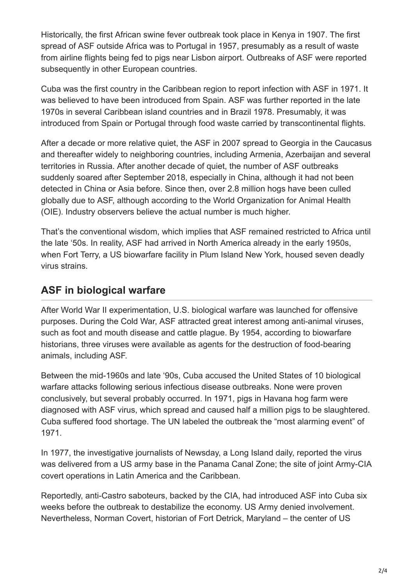Historically, the first African swine fever outbreak took place in Kenya in 1907. The first spread of ASF outside Africa was to Portugal in 1957, presumably as a result of waste from airline flights being fed to pigs near Lisbon airport. Outbreaks of ASF were reported subsequently in other European countries.

Cuba was the first country in the Caribbean region to report infection with ASF in 1971. It was believed to have been introduced from Spain. ASF was further reported in the late 1970s in several Caribbean island countries and in Brazil 1978. Presumably, it was introduced from Spain or Portugal through food waste carried by transcontinental flights.

After a decade or more relative quiet, the ASF in 2007 spread to Georgia in the Caucasus and thereafter widely to neighboring countries, including Armenia, Azerbaijan and several territories in Russia. After another decade of quiet, the number of ASF outbreaks suddenly soared after September 2018, especially in China, although it had not been detected in China or Asia before. Since then, over 2.8 million hogs have been culled globally due to ASF, although according to the World Organization for Animal Health (OIE). Industry observers believe the actual number is much higher.

That's the conventional wisdom, which implies that ASF remained restricted to Africa until the late '50s. In reality, ASF had arrived in North America already in the early 1950s, when Fort Terry, a US biowarfare facility in Plum Island New York, housed seven deadly virus strains.

## **ASF in biological warfare**

After World War II experimentation, U.S. biological warfare was launched for offensive purposes. During the Cold War, ASF attracted great interest among anti-animal viruses, such as foot and mouth disease and cattle plague. By 1954, according to biowarfare historians, three viruses were available as agents for the destruction of food-bearing animals, including ASF.

Between the mid-1960s and late '90s, Cuba accused the United States of 10 biological warfare attacks following serious infectious disease outbreaks. None were proven conclusively, but several probably occurred. In 1971, pigs in Havana hog farm were diagnosed with ASF virus, which spread and caused half a million pigs to be slaughtered. Cuba suffered food shortage. The UN labeled the outbreak the "most alarming event" of 1971.

In 1977, the investigative journalists of Newsday, a Long Island daily, reported the virus was delivered from a US army base in the Panama Canal Zone; the site of joint Army-CIA covert operations in Latin America and the Caribbean.

Reportedly, anti-Castro saboteurs, backed by the CIA, had introduced ASF into Cuba six weeks before the outbreak to destabilize the economy. US Army denied involvement. Nevertheless, Norman Covert, historian of Fort Detrick, Maryland – the center of US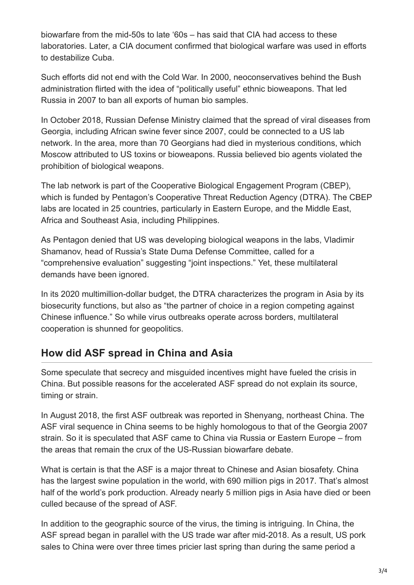biowarfare from the mid-50s to late '60s – has said that CIA had access to these laboratories. Later, a CIA document confirmed that biological warfare was used in efforts to destabilize Cuba.

Such efforts did not end with the Cold War. In 2000, neoconservatives behind the Bush administration flirted with the idea of "politically useful" ethnic bioweapons. That led Russia in 2007 to ban all exports of human bio samples.

In October 2018, Russian Defense Ministry claimed that the spread of viral diseases from Georgia, including African swine fever since 2007, could be connected to a US lab network. In the area, more than 70 Georgians had died in mysterious conditions, which Moscow attributed to US toxins or bioweapons. Russia believed bio agents violated the prohibition of biological weapons.

The lab network is part of the Cooperative Biological Engagement Program (CBEP), which is funded by Pentagon's Cooperative Threat Reduction Agency (DTRA). The CBEP labs are located in 25 countries, particularly in Eastern Europe, and the Middle East, Africa and Southeast Asia, including Philippines.

As Pentagon denied that US was developing biological weapons in the labs, Vladimir Shamanov, head of Russia's State Duma Defense Committee, called for a "comprehensive evaluation" suggesting "joint inspections." Yet, these multilateral demands have been ignored.

In its 2020 multimillion-dollar budget, the DTRA characterizes the program in Asia by its biosecurity functions, but also as "the partner of choice in a region competing against Chinese influence." So while virus outbreaks operate across borders, multilateral cooperation is shunned for geopolitics.

## **How did ASF spread in China and Asia**

Some speculate that secrecy and misguided incentives might have fueled the crisis in China. But possible reasons for the accelerated ASF spread do not explain its source, timing or strain.

In August 2018, the first ASF outbreak was reported in Shenyang, northeast China. The ASF viral sequence in China seems to be highly homologous to that of the Georgia 2007 strain. So it is speculated that ASF came to China via Russia or Eastern Europe – from the areas that remain the crux of the US-Russian biowarfare debate.

What is certain is that the ASF is a major threat to Chinese and Asian biosafety. China has the largest swine population in the world, with 690 million pigs in 2017. That's almost half of the world's pork production. Already nearly 5 million pigs in Asia have died or been culled because of the spread of ASF.

In addition to the geographic source of the virus, the timing is intriguing. In China, the ASF spread began in parallel with the US trade war after mid-2018. As a result, US pork sales to China were over three times pricier last spring than during the same period a